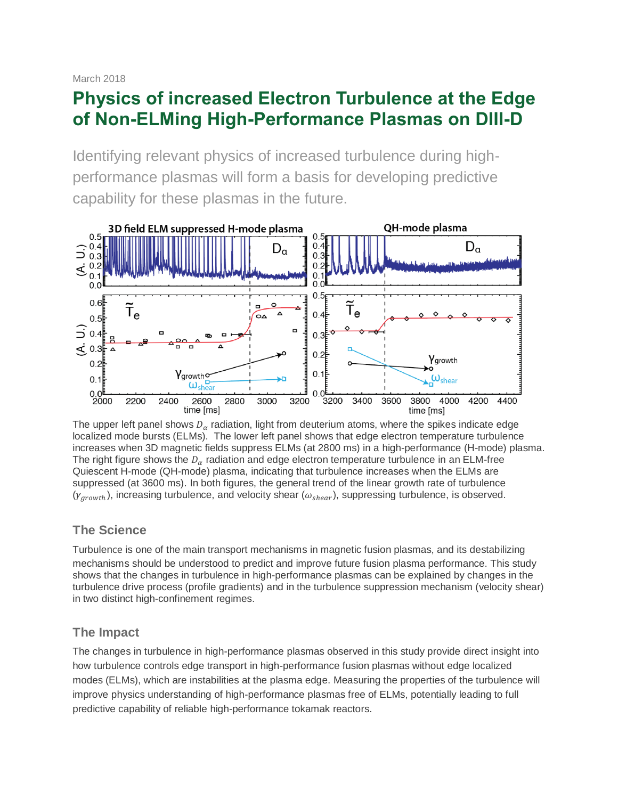March 2018

# **Physics of increased Electron Turbulence at the Edge of Non-ELMing High-Performance Plasmas on DIII-D**

Identifying relevant physics of increased turbulence during highperformance plasmas will form a basis for developing predictive capability for these plasmas in the future.



The upper left panel shows  $D_{\alpha}$  radiation, light from deuterium atoms, where the spikes indicate edge localized mode bursts (ELMs). The lower left panel shows that edge electron temperature turbulence increases when 3D magnetic fields suppress ELMs (at 2800 ms) in a high-performance (H-mode) plasma. The right figure shows the  $D_{\alpha}$  radiation and edge electron temperature turbulence in an ELM-free Quiescent H-mode (QH-mode) plasma, indicating that turbulence increases when the ELMs are suppressed (at 3600 ms). In both figures, the general trend of the linear growth rate of turbulence  $(\gamma_{arowth})$ , increasing turbulence, and velocity shear ( $\omega_{shear}$ ), suppressing turbulence, is observed.

## **The Science**

Turbulence is one of the main transport mechanisms in magnetic fusion plasmas, and its destabilizing mechanisms should be understood to predict and improve future fusion plasma performance. This study shows that the changes in turbulence in high-performance plasmas can be explained by changes in the turbulence drive process (profile gradients) and in the turbulence suppression mechanism (velocity shear) in two distinct high-confinement regimes.

## **The Impact**

The changes in turbulence in high-performance plasmas observed in this study provide direct insight into how turbulence controls edge transport in high-performance fusion plasmas without edge localized modes (ELMs), which are instabilities at the plasma edge. Measuring the properties of the turbulence will improve physics understanding of high-performance plasmas free of ELMs, potentially leading to full predictive capability of reliable high-performance tokamak reactors.